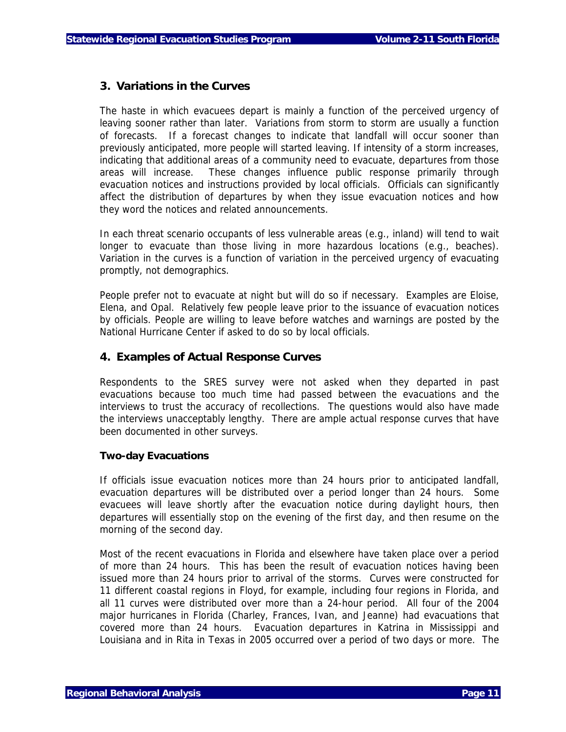## **3. Variations in the Curves**

The haste in which evacuees depart is mainly a function of the perceived urgency of leaving sooner rather than later. Variations from storm to storm are usually a function of forecasts. If a forecast changes to indicate that landfall will occur sooner than previously anticipated, more people will started leaving. If intensity of a storm increases, indicating that additional areas of a community need to evacuate, departures from those areas will increase. These changes influence public response primarily through evacuation notices and instructions provided by local officials. Officials can significantly affect the distribution of departures by when they issue evacuation notices and how they word the notices and related announcements.

In each threat scenario occupants of less vulnerable areas (e.g., inland) will tend to wait longer to evacuate than those living in more hazardous locations (e.g., beaches). Variation in the curves is a function of variation in the perceived urgency of evacuating promptly, not demographics.

People prefer not to evacuate at night but will do so if necessary. Examples are Eloise, Elena, and Opal. Relatively few people leave prior to the issuance of evacuation notices by officials. People are willing to leave before watches and warnings are posted by the National Hurricane Center if asked to do so by local officials.

## **4. Examples of Actual Response Curves**

Respondents to the SRES survey were not asked when they departed in past evacuations because too much time had passed between the evacuations and the interviews to trust the accuracy of recollections. The questions would also have made the interviews unacceptably lengthy. There are ample actual response curves that have been documented in other surveys.

## **Two-day Evacuations**

If officials issue evacuation notices more than 24 hours prior to anticipated landfall, evacuation departures will be distributed over a period longer than 24 hours. Some evacuees will leave shortly after the evacuation notice during daylight hours, then departures will essentially stop on the evening of the first day, and then resume on the morning of the second day.

Most of the recent evacuations in Florida and elsewhere have taken place over a period of more than 24 hours. This has been the result of evacuation notices having been issued more than 24 hours prior to arrival of the storms. Curves were constructed for 11 different coastal regions in Floyd, for example, including four regions in Florida, and all 11 curves were distributed over more than a 24-hour period. All four of the 2004 major hurricanes in Florida (Charley, Frances, Ivan, and Jeanne) had evacuations that covered more than 24 hours. Evacuation departures in Katrina in Mississippi and Louisiana and in Rita in Texas in 2005 occurred over a period of two days or more. The